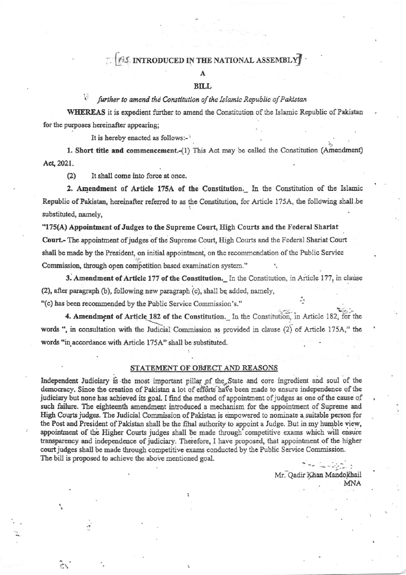## **AS INTRODUCED IN THE NATIONAL ASSEMBLY**

#### **BILL**

#### further to amend the Constitution of the Islamic Republic of Pakistan

WHEREAS it is expedient further to amend the Constitution of the Islamic Republic of Pakistan for the purposes hereinafter appearing;

It is hereby enacted as follows:-

1. Short title and commencement.-(1) This Act may be called the Constitution (Amendment) Act, 2021.

 $(2)$ It shall come into force at once.

سية<br>م

2. Amendment of Article 175A of the Constitution. In the Constitution of the Islamic Republic of Pakistan, hereinafter referred to as the Constitution, for Article 175A, the following shall be substituted, namely,

"175(A) Appointment of Judges to the Supreme Court, High Courts and the Federal Shariat Court.- The appointment of judges of the Supreme Court, High Courts and the Federal Shariat Court shall be made by the President, on initial appointment, on the recommendation of the Public Service Commission, through open competition based examination system."

3. Amendment of Article 177 of the Constitution. In the Constitution, in Article 177, in clause (2), after paragraph (b), following new paragraph (c), shall be added, namely, "(c) has been recommended by the Public Service Commission's."

4. Amendment of Article 182 of the Constitution. In the Constitution, in Article 182, for the words ", in consultation with the Judicial Commission as provided in clause (2) of Article 175A," the words "in accordance with Article 175A" shall be substituted.

### STATEMENT OF OBJECT AND REASONS

Independent Judiciary is the most important pillar of the State and core ingredient and soul of the democracy. Since the creation of Pakistan a lot of efforts have been made to ensure independence of the judiciary but none has achieved its goal. I find the method of appointment of judges as one of the cause of such failure. The eighteenth amendment introduced a mechanism for the appointment of Supreme and High Courts judges. The Judicial Commission of Pakistan is empowered to nominate a suitable person for the Post and President of Pakistan shall be the final authority to appoint a Judge. But in my humble view, appointment of the Higher Courts judges shall be made through competitive exams which will ensure transparency and independence of judiciary. Therefore, I have proposed, that appointment of the higher court judges shall be made through competitive exams conducted by the Public Service Commission. The bill is proposed to achieve the above mentioned goal.

> Mr. Qadir Khan Mandokhail **MNA**